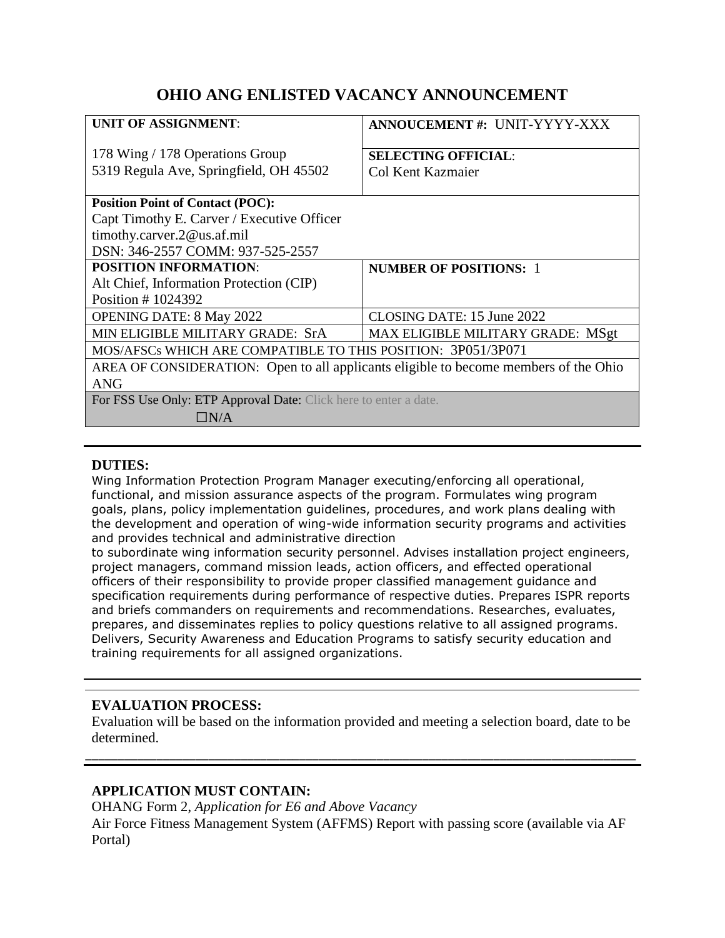# **OHIO ANG ENLISTED VACANCY ANNOUNCEMENT**

| <b>UNIT OF ASSIGNMENT:</b>                                                           | ANNOUCEMENT#: UNIT-YYYY-XXX       |
|--------------------------------------------------------------------------------------|-----------------------------------|
| 178 Wing / 178 Operations Group                                                      | <b>SELECTING OFFICIAL:</b>        |
| 5319 Regula Ave, Springfield, OH 45502                                               | Col Kent Kazmaier                 |
| <b>Position Point of Contact (POC):</b>                                              |                                   |
| Capt Timothy E. Carver / Executive Officer                                           |                                   |
| timothy.carver.2@us.af.mil                                                           |                                   |
| DSN: 346-2557 COMM: 937-525-2557                                                     |                                   |
| <b>POSITION INFORMATION:</b>                                                         | <b>NUMBER OF POSITIONS: 1</b>     |
| Alt Chief, Information Protection (CIP)                                              |                                   |
| Position #1024392                                                                    |                                   |
| <b>OPENING DATE: 8 May 2022</b>                                                      | CLOSING DATE: 15 June 2022        |
| MIN ELIGIBLE MILITARY GRADE: SrA                                                     | MAX ELIGIBLE MILITARY GRADE: MSgt |
| MOS/AFSCs WHICH ARE COMPATIBLE TO THIS POSITION: 3P051/3P071                         |                                   |
| AREA OF CONSIDERATION: Open to all applicants eligible to become members of the Ohio |                                   |
| <b>ANG</b>                                                                           |                                   |
| For FSS Use Only: ETP Approval Date: Click here to enter a date.                     |                                   |
| $\Box N/A$                                                                           |                                   |
|                                                                                      |                                   |

#### **DUTIES:**

Wing Information Protection Program Manager executing/enforcing all operational, functional, and mission assurance aspects of the program. Formulates wing program goals, plans, policy implementation guidelines, procedures, and work plans dealing with the development and operation of wing-wide information security programs and activities and provides technical and administrative direction

to subordinate wing information security personnel. Advises installation project engineers, project managers, command mission leads, action officers, and effected operational officers of their responsibility to provide proper classified management guidance and specification requirements during performance of respective duties. Prepares ISPR reports and briefs commanders on requirements and recommendations. Researches, evaluates, prepares, and disseminates replies to policy questions relative to all assigned programs. Delivers, Security Awareness and Education Programs to satisfy security education and training requirements for all assigned organizations.

## **EVALUATION PROCESS:**

Evaluation will be based on the information provided and meeting a selection board, date to be determined.

\_\_\_\_\_\_\_\_\_\_\_\_\_\_\_\_\_\_\_\_\_\_\_\_\_\_\_\_\_\_\_\_\_\_\_\_\_\_\_\_\_\_\_\_\_\_\_\_\_\_\_\_\_\_\_\_\_\_\_\_\_\_\_\_\_\_\_\_\_\_\_\_\_\_\_\_\_\_\_\_\_\_\_\_\_

## **APPLICATION MUST CONTAIN:**

OHANG Form 2, *Application for E6 and Above Vacancy* Air Force Fitness Management System (AFFMS) Report with passing score (available via AF Portal)